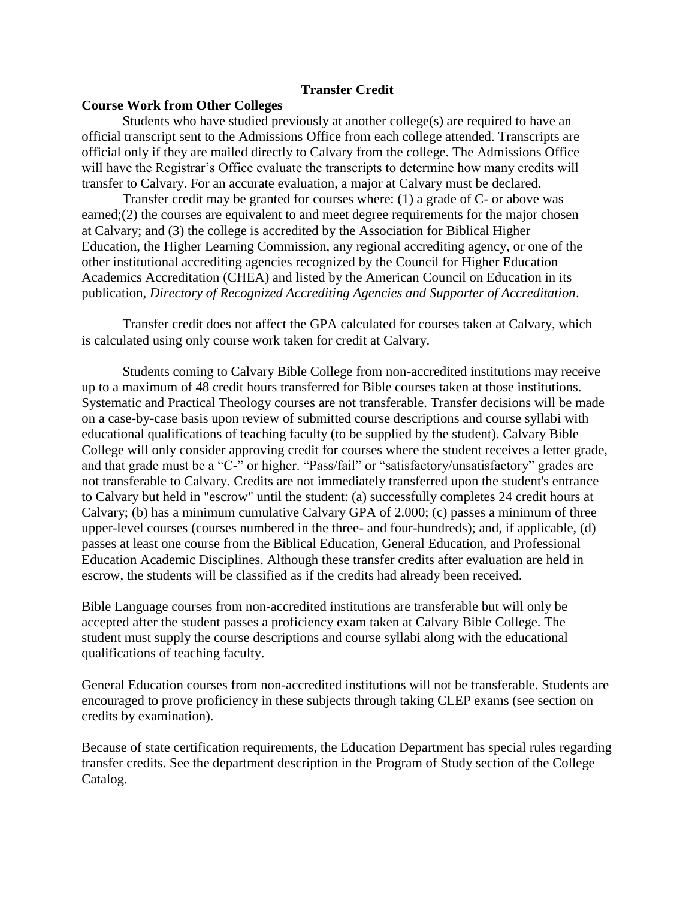## **Transfer Credit**

## **Course Work from Other Colleges**

Students who have studied previously at another college(s) are required to have an official transcript sent to the Admissions Office from each college attended. Transcripts are official only if they are mailed directly to Calvary from the college. The Admissions Office will have the Registrar's Office evaluate the transcripts to determine how many credits will transfer to Calvary. For an accurate evaluation, a major at Calvary must be declared.

Transfer credit may be granted for courses where: (1) a grade of C- or above was earned;(2) the courses are equivalent to and meet degree requirements for the major chosen at Calvary; and (3) the college is accredited by the Association for Biblical Higher Education, the Higher Learning Commission, any regional accrediting agency, or one of the other institutional accrediting agencies recognized by the Council for Higher Education Academics Accreditation (CHEA) and listed by the American Council on Education in its publication, *Directory of Recognized Accrediting Agencies and Supporter of Accreditation*.

Transfer credit does not affect the GPA calculated for courses taken at Calvary, which is calculated using only course work taken for credit at Calvary.

Students coming to Calvary Bible College from non-accredited institutions may receive up to a maximum of 48 credit hours transferred for Bible courses taken at those institutions. Systematic and Practical Theology courses are not transferable. Transfer decisions will be made on a case-by-case basis upon review of submitted course descriptions and course syllabi with educational qualifications of teaching faculty (to be supplied by the student). Calvary Bible College will only consider approving credit for courses where the student receives a letter grade, and that grade must be a "C-" or higher. "Pass/fail" or "satisfactory/unsatisfactory" grades are not transferable to Calvary. Credits are not immediately transferred upon the student's entrance to Calvary but held in "escrow" until the student: (a) successfully completes 24 credit hours at Calvary; (b) has a minimum cumulative Calvary GPA of 2.000; (c) passes a minimum of three upper-level courses (courses numbered in the three- and four-hundreds); and, if applicable, (d) passes at least one course from the Biblical Education, General Education, and Professional Education Academic Disciplines. Although these transfer credits after evaluation are held in escrow, the students will be classified as if the credits had already been received.

Bible Language courses from non-accredited institutions are transferable but will only be accepted after the student passes a proficiency exam taken at Calvary Bible College. The student must supply the course descriptions and course syllabi along with the educational qualifications of teaching faculty.

General Education courses from non-accredited institutions will not be transferable. Students are encouraged to prove proficiency in these subjects through taking CLEP exams (see section on credits by examination).

Because of state certification requirements, the Education Department has special rules regarding transfer credits. See the department description in the Program of Study section of the College Catalog.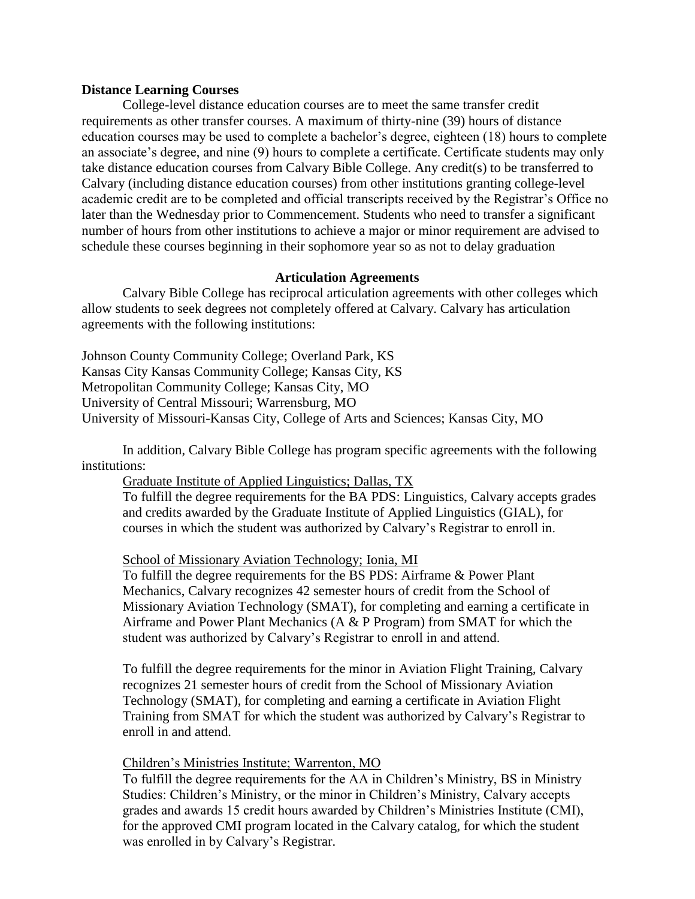### **Distance Learning Courses**

College-level distance education courses are to meet the same transfer credit requirements as other transfer courses. A maximum of thirty-nine (39) hours of distance education courses may be used to complete a bachelor's degree, eighteen (18) hours to complete an associate's degree, and nine (9) hours to complete a certificate. Certificate students may only take distance education courses from Calvary Bible College. Any credit(s) to be transferred to Calvary (including distance education courses) from other institutions granting college-level academic credit are to be completed and official transcripts received by the Registrar's Office no later than the Wednesday prior to Commencement. Students who need to transfer a significant number of hours from other institutions to achieve a major or minor requirement are advised to schedule these courses beginning in their sophomore year so as not to delay graduation

### **Articulation Agreements**

Calvary Bible College has reciprocal articulation agreements with other colleges which allow students to seek degrees not completely offered at Calvary. Calvary has articulation agreements with the following institutions:

Johnson County Community College; Overland Park, KS Kansas City Kansas Community College; Kansas City, KS Metropolitan Community College; Kansas City, MO University of Central Missouri; Warrensburg, MO University of Missouri-Kansas City, College of Arts and Sciences; Kansas City, MO

In addition, Calvary Bible College has program specific agreements with the following institutions:

## Graduate Institute of Applied Linguistics; Dallas, TX

To fulfill the degree requirements for the BA PDS: Linguistics, Calvary accepts grades and credits awarded by the Graduate Institute of Applied Linguistics (GIAL), for courses in which the student was authorized by Calvary's Registrar to enroll in.

### School of Missionary Aviation Technology; Ionia, MI

To fulfill the degree requirements for the BS PDS: Airframe & Power Plant Mechanics, Calvary recognizes 42 semester hours of credit from the School of Missionary Aviation Technology (SMAT), for completing and earning a certificate in Airframe and Power Plant Mechanics (A & P Program) from SMAT for which the student was authorized by Calvary's Registrar to enroll in and attend.

To fulfill the degree requirements for the minor in Aviation Flight Training, Calvary recognizes 21 semester hours of credit from the School of Missionary Aviation Technology (SMAT), for completing and earning a certificate in Aviation Flight Training from SMAT for which the student was authorized by Calvary's Registrar to enroll in and attend.

#### Children's Ministries Institute; Warrenton, MO

To fulfill the degree requirements for the AA in Children's Ministry, BS in Ministry Studies: Children's Ministry, or the minor in Children's Ministry, Calvary accepts grades and awards 15 credit hours awarded by Children's Ministries Institute (CMI), for the approved CMI program located in the Calvary catalog, for which the student was enrolled in by Calvary's Registrar.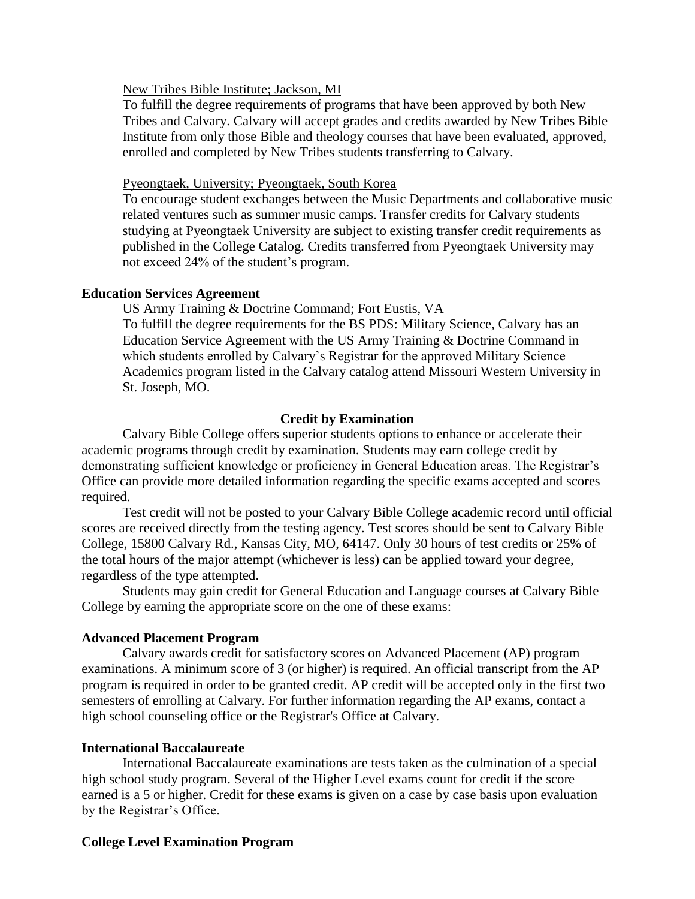## New Tribes Bible Institute; Jackson, MI

To fulfill the degree requirements of programs that have been approved by both New Tribes and Calvary. Calvary will accept grades and credits awarded by New Tribes Bible Institute from only those Bible and theology courses that have been evaluated, approved, enrolled and completed by New Tribes students transferring to Calvary.

### Pyeongtaek, University; Pyeongtaek, South Korea

To encourage student exchanges between the Music Departments and collaborative music related ventures such as summer music camps. Transfer credits for Calvary students studying at Pyeongtaek University are subject to existing transfer credit requirements as published in the College Catalog. Credits transferred from Pyeongtaek University may not exceed 24% of the student's program.

### **Education Services Agreement**

US Army Training & Doctrine Command; Fort Eustis, VA To fulfill the degree requirements for the BS PDS: Military Science, Calvary has an Education Service Agreement with the US Army Training & Doctrine Command in which students enrolled by Calvary's Registrar for the approved Military Science Academics program listed in the Calvary catalog attend Missouri Western University in St. Joseph, MO.

## **Credit by Examination**

Calvary Bible College offers superior students options to enhance or accelerate their academic programs through credit by examination. Students may earn college credit by demonstrating sufficient knowledge or proficiency in General Education areas. The Registrar's Office can provide more detailed information regarding the specific exams accepted and scores required.

Test credit will not be posted to your Calvary Bible College academic record until official scores are received directly from the testing agency. Test scores should be sent to Calvary Bible College, 15800 Calvary Rd., Kansas City, MO, 64147. Only 30 hours of test credits or 25% of the total hours of the major attempt (whichever is less) can be applied toward your degree, regardless of the type attempted.

Students may gain credit for General Education and Language courses at Calvary Bible College by earning the appropriate score on the one of these exams:

## **Advanced Placement Program**

Calvary awards credit for satisfactory scores on Advanced Placement (AP) program examinations. A minimum score of 3 (or higher) is required. An official transcript from the AP program is required in order to be granted credit. AP credit will be accepted only in the first two semesters of enrolling at Calvary. For further information regarding the AP exams, contact a high school counseling office or the Registrar's Office at Calvary.

## **International Baccalaureate**

International Baccalaureate examinations are tests taken as the culmination of a special high school study program. Several of the Higher Level exams count for credit if the score earned is a 5 or higher. Credit for these exams is given on a case by case basis upon evaluation by the Registrar's Office.

## **College Level Examination Program**